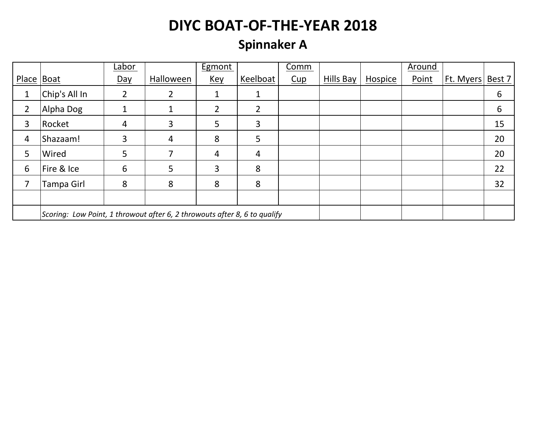### **Spinnaker A**

|            |                                                                           | Labor          |           | Egmont     |                | Comm |           |         | Around |           |        |  |
|------------|---------------------------------------------------------------------------|----------------|-----------|------------|----------------|------|-----------|---------|--------|-----------|--------|--|
| Place Boat |                                                                           | Day            | Halloween | <u>Key</u> | Keelboat       | Cup  | Hills Bay | Hospice | Point  | Ft. Myers | Best 7 |  |
| 1          | Chip's All In                                                             | $\overline{2}$ | 2         |            | 1              |      |           |         |        |           | 6      |  |
| 2          | Alpha Dog                                                                 | 1              |           | 2          | 2              |      |           |         |        |           | 6      |  |
| 3          | Rocket                                                                    | 4              | 3         | 5          | 3              |      |           |         |        |           | 15     |  |
| 4          | Shazaam!                                                                  | 3              | 4         | 8          | 5              |      |           |         |        |           | 20     |  |
| 5          | Wired                                                                     | 5              |           | 4          | $\overline{4}$ |      |           |         |        |           | 20     |  |
| 6          | Fire & Ice                                                                | 6              | 5         | 3          | 8              |      |           |         |        |           | 22     |  |
|            | Tampa Girl                                                                | 8              | 8         | 8          | 8              |      |           |         |        |           | 32     |  |
|            |                                                                           |                |           |            |                |      |           |         |        |           |        |  |
|            | Scoring: Low Point, 1 throwout after 6, 2 throwouts after 8, 6 to qualify |                |           |            |                |      |           |         |        |           |        |  |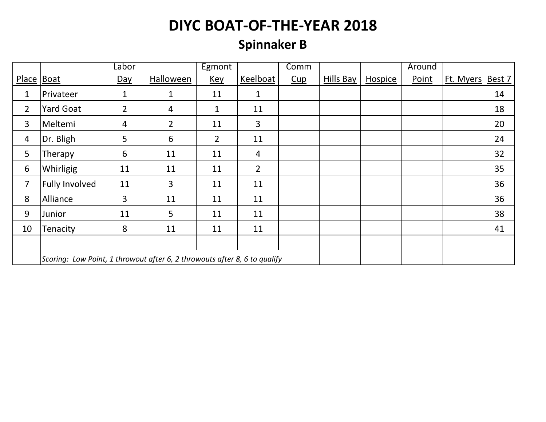### **Spinnaker B**

|                |                                                                           | Labor          |                | Egmont         |                | Comm |           |         | <b>Around</b> |           |        |
|----------------|---------------------------------------------------------------------------|----------------|----------------|----------------|----------------|------|-----------|---------|---------------|-----------|--------|
| Place   Boat   |                                                                           | Day            | Halloween      | <u>Key</u>     | Keelboat       | Cup  | Hills Bay | Hospice | Point         | Ft. Myers | Best 7 |
| 1              | Privateer                                                                 | $\mathbf{1}$   | 1              | 11             | 1              |      |           |         |               |           | 14     |
| $\overline{2}$ | <b>Yard Goat</b>                                                          | $\overline{2}$ | 4              | 1              | 11             |      |           |         |               |           | 18     |
| 3              | Meltemi                                                                   | $\overline{4}$ | $\overline{2}$ | 11             | 3              |      |           |         |               |           | 20     |
| 4              | Dr. Bligh                                                                 | 5              | 6              | $\overline{2}$ | 11             |      |           |         |               |           | 24     |
| 5              | Therapy                                                                   | 6              | 11             | 11             | $\overline{4}$ |      |           |         |               |           | 32     |
| 6              | Whirligig                                                                 | 11             | 11             | 11             | $\overline{2}$ |      |           |         |               |           | 35     |
| 7              | <b>Fully Involved</b>                                                     | 11             | 3              | 11             | 11             |      |           |         |               |           | 36     |
| 8              | Alliance                                                                  | $\overline{3}$ | 11             | 11             | 11             |      |           |         |               |           | 36     |
| 9              | Junior                                                                    | 11             | 5              | 11             | 11             |      |           |         |               |           | 38     |
| 10             | Tenacity                                                                  | 8              | 11             | 11             | 11             |      |           |         |               |           | 41     |
|                |                                                                           |                |                |                |                |      |           |         |               |           |        |
|                | Scoring: Low Point, 1 throwout after 6, 2 throwouts after 8, 6 to qualify |                |                |                |                |      |           |         |               |           |        |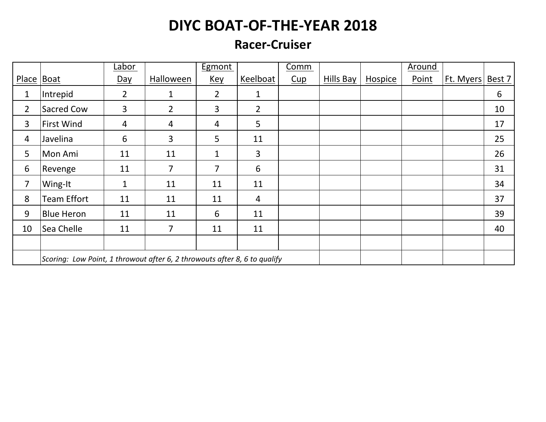#### **Racer-Cruiser**

|                |                                                                           | Labor          |                | <b>Egmont</b>  |                | Comm |           |         | Around |           |        |
|----------------|---------------------------------------------------------------------------|----------------|----------------|----------------|----------------|------|-----------|---------|--------|-----------|--------|
| Place Boat     |                                                                           | Day            | Halloween      | Key            | Keelboat       | Cup  | Hills Bay | Hospice | Point  | Ft. Myers | Best 7 |
| $\mathbf{1}$   | Intrepid                                                                  | $\overline{2}$ | 1              | $\overline{2}$ | 1              |      |           |         |        |           | 6      |
| $\overline{2}$ | Sacred Cow                                                                | $\overline{3}$ | $\overline{2}$ | 3              | $\overline{2}$ |      |           |         |        |           | 10     |
| 3              | <b>First Wind</b>                                                         | $\overline{4}$ | 4              | 4              | 5              |      |           |         |        |           | 17     |
| $\overline{4}$ | Javelina                                                                  | 6              | 3              | 5              | 11             |      |           |         |        |           | 25     |
| 5              | Mon Ami                                                                   | 11             | 11             | $\mathbf{1}$   | 3              |      |           |         |        |           | 26     |
| 6              | Revenge                                                                   | 11             | $\overline{7}$ | 7              | 6              |      |           |         |        |           | 31     |
| $\overline{7}$ | Wing-It                                                                   | $\mathbf{1}$   | 11             | 11             | 11             |      |           |         |        |           | 34     |
| 8              | <b>Team Effort</b>                                                        | 11             | 11             | 11             | $\overline{4}$ |      |           |         |        |           | 37     |
| 9              | <b>Blue Heron</b>                                                         | 11             | 11             | 6              | 11             |      |           |         |        |           | 39     |
| 10             | Sea Chelle                                                                | 11             | 7              | 11             | 11             |      |           |         |        |           | 40     |
|                |                                                                           |                |                |                |                |      |           |         |        |           |        |
|                | Scoring: Low Point, 1 throwout after 6, 2 throwouts after 8, 6 to qualify |                |                |                |                |      |           |         |        |           |        |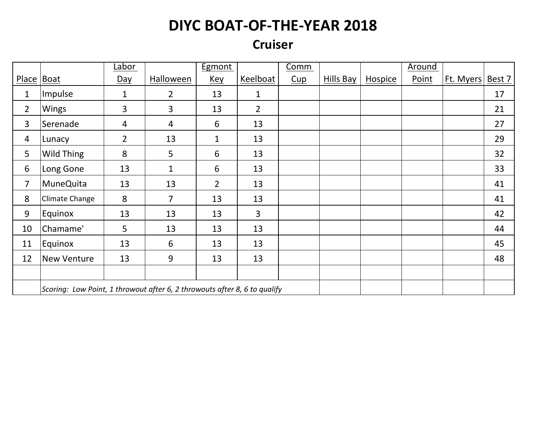### **Cruiser**

|                |                                                                           | Labor          |                | <b>Egmont</b>  |                | Comm |           |         | <b>Around</b> |           |        |
|----------------|---------------------------------------------------------------------------|----------------|----------------|----------------|----------------|------|-----------|---------|---------------|-----------|--------|
| Place   Boat   |                                                                           | <u>Day</u>     | Halloween      | <u>Key</u>     | Keelboat       | Cup  | Hills Bay | Hospice | Point         | Ft. Myers | Best 7 |
| $\mathbf{1}$   | Impulse                                                                   | $\mathbf{1}$   | $\overline{2}$ | 13             | $\mathbf{1}$   |      |           |         |               |           | 17     |
| $\overline{2}$ | Wings                                                                     | $\overline{3}$ | $\overline{3}$ | 13             | $\overline{2}$ |      |           |         |               |           | 21     |
| 3              | Serenade                                                                  | $\overline{4}$ | 4              | 6              | 13             |      |           |         |               |           | 27     |
| $\overline{4}$ | Lunacy                                                                    | $\overline{2}$ | 13             | $\mathbf{1}$   | 13             |      |           |         |               |           | 29     |
| 5              | Wild Thing                                                                | $\bf 8$        | 5              | 6              | 13             |      |           |         |               |           | 32     |
| 6              | Long Gone                                                                 | 13             | $\mathbf{1}$   | 6              | 13             |      |           |         |               |           | 33     |
| $\overline{7}$ | <b>MuneQuita</b>                                                          | 13             | 13             | $\overline{2}$ | 13             |      |           |         |               |           | 41     |
| 8              | Climate Change                                                            | 8              | $\overline{7}$ | 13             | 13             |      |           |         |               |           | 41     |
| 9              | Equinox                                                                   | 13             | 13             | 13             | $\overline{3}$ |      |           |         |               |           | 42     |
| 10             | Chamame'                                                                  | 5              | 13             | 13             | 13             |      |           |         |               |           | 44     |
| 11             | Equinox                                                                   | 13             | 6              | 13             | 13             |      |           |         |               |           | 45     |
| 12             | New Venture                                                               | 13             | 9              | 13             | 13             |      |           |         |               |           | 48     |
|                |                                                                           |                |                |                |                |      |           |         |               |           |        |
|                | Scoring: Low Point, 1 throwout after 6, 2 throwouts after 8, 6 to qualify |                |                |                |                |      |           |         |               |           |        |